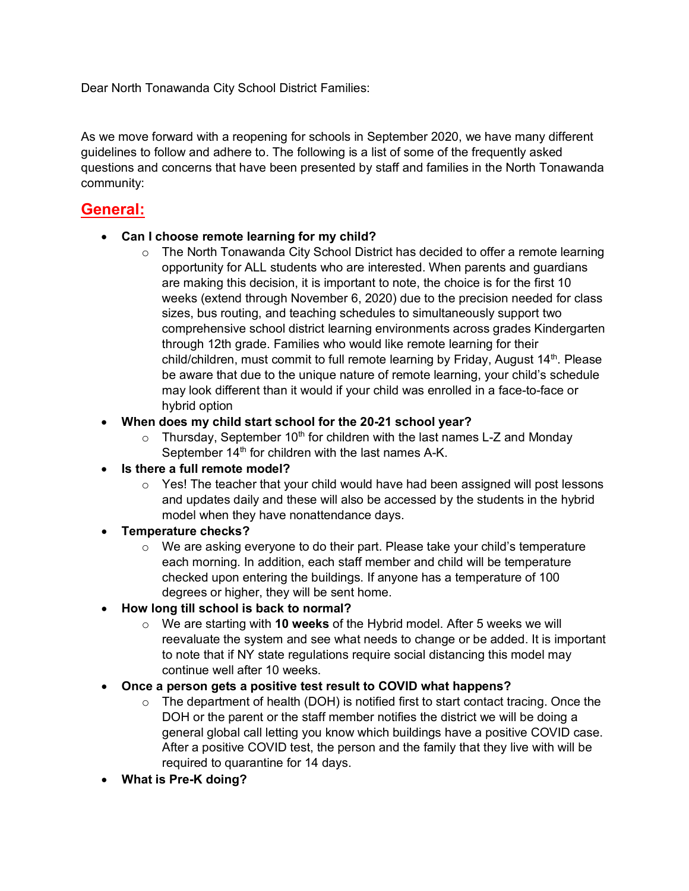Dear North Tonawanda City School District Families:

As we move forward with a reopening for schools in September 2020, we have many different guidelines to follow and adhere to. The following is a list of some of the frequently asked questions and concerns that have been presented by staff and families in the North Tonawanda community:

# **General:**

#### • **Can I choose remote learning for my child?**

 $\circ$  The North Tonawanda City School District has decided to offer a remote learning opportunity for ALL students who are interested. When parents and guardians are making this decision, it is important to note, the choice is for the first 10 weeks (extend through November 6, 2020) due to the precision needed for class sizes, bus routing, and teaching schedules to simultaneously support two comprehensive school district learning environments across grades Kindergarten through 12th grade. Families who would like remote learning for their child/children, must commit to full remote learning by Friday, August 14<sup>th</sup>. Please be aware that due to the unique nature of remote learning, your child's schedule may look different than it would if your child was enrolled in a face-to-face or hybrid option

#### • **When does my child start school for the 20-21 school year?**

- $\circ$  Thursday, September 10<sup>th</sup> for children with the last names L-Z and Monday September 14<sup>th</sup> for children with the last names A-K.
- **Is there a full remote model?** 
	- $\circ$  Yes! The teacher that your child would have had been assigned will post lessons and updates daily and these will also be accessed by the students in the hybrid model when they have nonattendance days.
- **Temperature checks?** 
	- $\circ$  We are asking everyone to do their part. Please take your child's temperature each morning. In addition, each staff member and child will be temperature checked upon entering the buildings. If anyone has a temperature of 100 degrees or higher, they will be sent home.
- **How long till school is back to normal?** 
	- o We are starting with **10 weeks** of the Hybrid model. After 5 weeks we will reevaluate the system and see what needs to change or be added. It is important to note that if NY state regulations require social distancing this model may continue well after 10 weeks.

#### • **Once a person gets a positive test result to COVID what happens?**

- $\circ$  The department of health (DOH) is notified first to start contact tracing. Once the DOH or the parent or the staff member notifies the district we will be doing a general global call letting you know which buildings have a positive COVID case. After a positive COVID test, the person and the family that they live with will be required to quarantine for 14 days.
- **What is Pre-K doing?**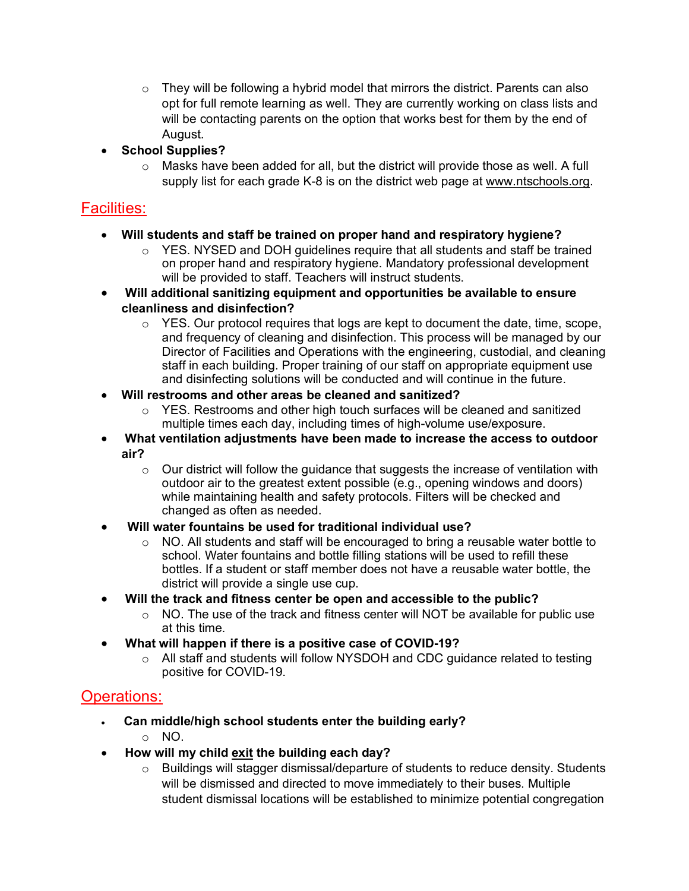- $\circ$  They will be following a hybrid model that mirrors the district. Parents can also opt for full remote learning as well. They are currently working on class lists and will be contacting parents on the option that works best for them by the end of August.
- **School Supplies?**
	- $\circ$  Masks have been added for all, but the district will provide those as well. A full supply list for each grade K-8 is on the district web page at [www.ntschools.org.](http://www.ntschools.org/)

### Facilities:

- **Will students and staff be trained on proper hand and respiratory hygiene?**
	- $\circ$  YES. NYSED and DOH quidelines require that all students and staff be trained on proper hand and respiratory hygiene. Mandatory professional development will be provided to staff. Teachers will instruct students.
- **Will additional sanitizing equipment and opportunities be available to ensure cleanliness and disinfection?**
	- $\circ$  YES. Our protocol requires that logs are kept to document the date, time, scope, and frequency of cleaning and disinfection. This process will be managed by our Director of Facilities and Operations with the engineering, custodial, and cleaning staff in each building. Proper training of our staff on appropriate equipment use and disinfecting solutions will be conducted and will continue in the future.
- **Will restrooms and other areas be cleaned and sanitized?**
	- $\circ$  YES. Restrooms and other high touch surfaces will be cleaned and sanitized multiple times each day, including times of high-volume use/exposure.
- **What ventilation adjustments have been made to increase the access to outdoor air?**
	- $\circ$  Our district will follow the quidance that suggests the increase of ventilation with outdoor air to the greatest extent possible (e.g., opening windows and doors) while maintaining health and safety protocols. Filters will be checked and changed as often as needed.
- **Will water fountains be used for traditional individual use?**
	- $\circ$  NO. All students and staff will be encouraged to bring a reusable water bottle to school. Water fountains and bottle filling stations will be used to refill these bottles. If a student or staff member does not have a reusable water bottle, the district will provide a single use cup.
- **Will the track and fitness center be open and accessible to the public?**
	- $\circ$  NO. The use of the track and fitness center will NOT be available for public use at this time.
- **What will happen if there is a positive case of COVID-19?**
	- o All staff and students will follow NYSDOH and CDC guidance related to testing positive for COVID-19.

## Operations:

- **Can middle/high school students enter the building early?**
	- o NO.
- **How will my child exit the building each day?**
	- o Buildings will stagger dismissal/departure of students to reduce density. Students will be dismissed and directed to move immediately to their buses. Multiple student dismissal locations will be established to minimize potential congregation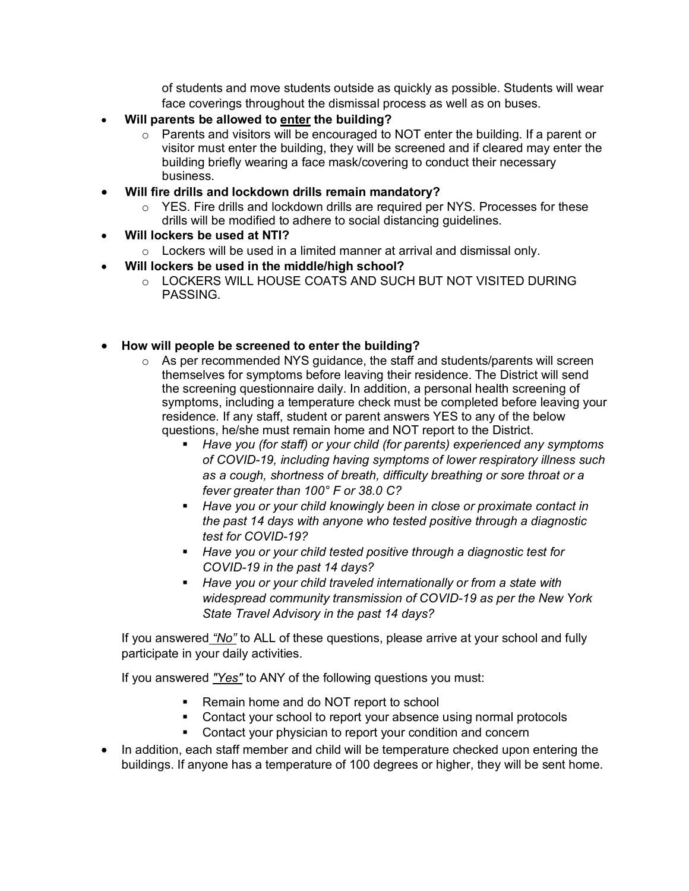of students and move students outside as quickly as possible. Students will wear face coverings throughout the dismissal process as well as on buses.

- **Will parents be allowed to enter the building?**
	- $\circ$  Parents and visitors will be encouraged to NOT enter the building. If a parent or visitor must enter the building, they will be screened and if cleared may enter the building briefly wearing a face mask/covering to conduct their necessary business.
- **Will fire drills and lockdown drills remain mandatory?**
	- o YES. Fire drills and lockdown drills are required per NYS. Processes for these drills will be modified to adhere to social distancing guidelines.
- **Will lockers be used at NTI?**
	- $\circ$  Lockers will be used in a limited manner at arrival and dismissal only.
- **Will lockers be used in the middle/high school?**
	- o LOCKERS WILL HOUSE COATS AND SUCH BUT NOT VISITED DURING PASSING.
- **How will people be screened to enter the building?**
	- o As per recommended NYS guidance, the staff and students/parents will screen themselves for symptoms before leaving their residence. The District will send the screening questionnaire daily. In addition, a personal health screening of symptoms, including a temperature check must be completed before leaving your residence. If any staff, student or parent answers YES to any of the below questions, he/she must remain home and NOT report to the District.
		- *Have you (for staff) or your child (for parents) experienced any symptoms of COVID-19, including having symptoms of lower respiratory illness such as a cough, shortness of breath, difficulty breathing or sore throat or a fever greater than 100° F or 38.0 C?*
		- *Have you or your child knowingly been in close or proximate contact in the past 14 days with anyone who tested positive through a diagnostic test for COVID-19?*
		- *Have you or your child tested positive through a diagnostic test for COVID-19 in the past 14 days?*
		- *Have you or your child traveled internationally or from a state with widespread community transmission of COVID-19 as per the New York State Travel Advisory in the past 14 days?*

If you answered *"No"* to ALL of these questions, please arrive at your school and fully participate in your daily activities.

If you answered *"Yes"* to ANY of the following questions you must:

- Remain home and do NOT report to school
- **Contact your school to report your absence using normal protocols**
- **EXECONTER 1** Contact your physician to report your condition and concern
- In addition, each staff member and child will be temperature checked upon entering the buildings. If anyone has a temperature of 100 degrees or higher, they will be sent home.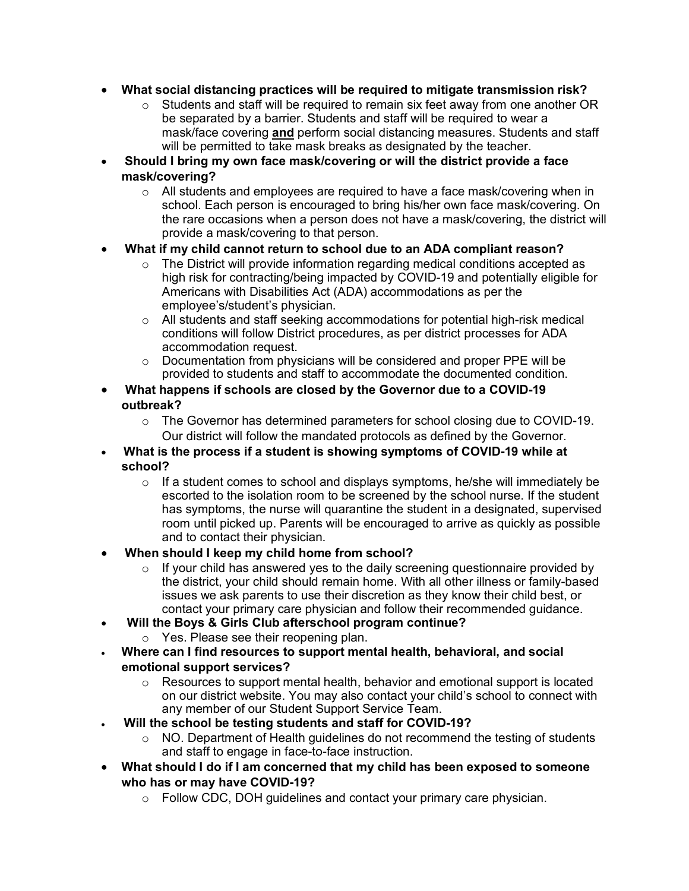- **What social distancing practices will be required to mitigate transmission risk?**
	- $\circ$  Students and staff will be required to remain six feet away from one another OR be separated by a barrier. Students and staff will be required to wear a mask/face covering **and** perform social distancing measures. Students and staff will be permitted to take mask breaks as designated by the teacher.
- **Should I bring my own face mask/covering or will the district provide a face mask/covering?**
	- o All students and employees are required to have a face mask/covering when in school. Each person is encouraged to bring his/her own face mask/covering. On the rare occasions when a person does not have a mask/covering, the district will provide a mask/covering to that person.
- **What if my child cannot return to school due to an ADA compliant reason?**
	- $\circ$  The District will provide information regarding medical conditions accepted as high risk for contracting/being impacted by COVID-19 and potentially eligible for Americans with Disabilities Act (ADA) accommodations as per the employee's/student's physician.
	- o All students and staff seeking accommodations for potential high-risk medical conditions will follow District procedures, as per district processes for ADA accommodation request.
	- o Documentation from physicians will be considered and proper PPE will be provided to students and staff to accommodate the documented condition.
- **What happens if schools are closed by the Governor due to a COVID-19 outbreak?**
	- o The Governor has determined parameters for school closing due to COVID-19. Our district will follow the mandated protocols as defined by the Governor.
- **What is the process if a student is showing symptoms of COVID-19 while at school?**
	- $\circ$  If a student comes to school and displays symptoms, he/she will immediately be escorted to the isolation room to be screened by the school nurse. If the student has symptoms, the nurse will quarantine the student in a designated, supervised room until picked up. Parents will be encouraged to arrive as quickly as possible and to contact their physician.
- **When should I keep my child home from school?**
	- $\circ$  If your child has answered yes to the daily screening questionnaire provided by the district, your child should remain home. With all other illness or family-based issues we ask parents to use their discretion as they know their child best, or contact your primary care physician and follow their recommended guidance.
- **Will the Boys & Girls Club afterschool program continue?**
	- o Yes. Please see their reopening plan.
- **Where can I find resources to support mental health, behavioral, and social emotional support services?**
	- o Resources to support mental health, behavior and emotional support is located on our district website. You may also contact your child's school to connect with any member of our Student Support Service Team.
- **Will the school be testing students and staff for COVID-19?**
	- o NO. Department of Health guidelines do not recommend the testing of students and staff to engage in face-to-face instruction.
- **What should I do if I am concerned that my child has been exposed to someone who has or may have COVID-19?**
	- o Follow CDC, DOH guidelines and contact your primary care physician.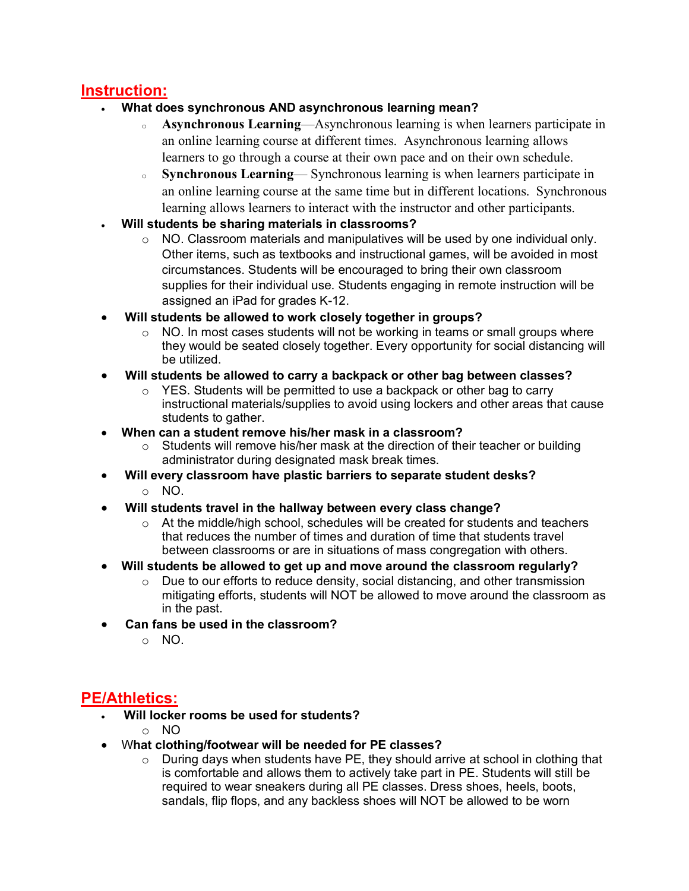### **Instruction:**

- **What does synchronous AND asynchronous learning mean?**
	- <sup>o</sup> **Asynchronous Learning**—Asynchronous learning is when learners participate in an online learning course at different times. Asynchronous learning allows learners to go through a course at their own pace and on their own schedule.
	- <sup>o</sup> **Synchronous Learning** Synchronous learning is when learners participate in an online learning course at the same time but in different locations. Synchronous learning allows learners to interact with the instructor and other participants.
- **Will students be sharing materials in classrooms?**
	- $\circ$  NO. Classroom materials and manipulatives will be used by one individual only. Other items, such as textbooks and instructional games, will be avoided in most circumstances. Students will be encouraged to bring their own classroom supplies for their individual use. Students engaging in remote instruction will be assigned an iPad for grades K-12.
- **Will students be allowed to work closely together in groups?**
	- o NO. In most cases students will not be working in teams or small groups where they would be seated closely together. Every opportunity for social distancing will be utilized.
- **Will students be allowed to carry a backpack or other bag between classes?**
	- $\circ$  YES. Students will be permitted to use a backpack or other bag to carry instructional materials/supplies to avoid using lockers and other areas that cause students to gather.
- **When can a student remove his/her mask in a classroom?**
	- $\circ$  Students will remove his/her mask at the direction of their teacher or building administrator during designated mask break times.
- **Will every classroom have plastic barriers to separate student desks?**
	- o NO.
- **Will students travel in the hallway between every class change?**<br>  $\circ$  At the middle/high school, schedules will be created for studen
	- At the middle/high school, schedules will be created for students and teachers that reduces the number of times and duration of time that students travel between classrooms or are in situations of mass congregation with others.
- **Will students be allowed to get up and move around the classroom regularly?**
	- o Due to our efforts to reduce density, social distancing, and other transmission mitigating efforts, students will NOT be allowed to move around the classroom as in the past.
- **Can fans be used in the classroom?**
	- o NO.

# **PE/Athletics:**

- **Will locker rooms be used for students?**
	- o NO
- W**hat clothing/footwear will be needed for PE classes?**
	- o During days when students have PE, they should arrive at school in clothing that is comfortable and allows them to actively take part in PE. Students will still be required to wear sneakers during all PE classes. Dress shoes, heels, boots, sandals, flip flops, and any backless shoes will NOT be allowed to be worn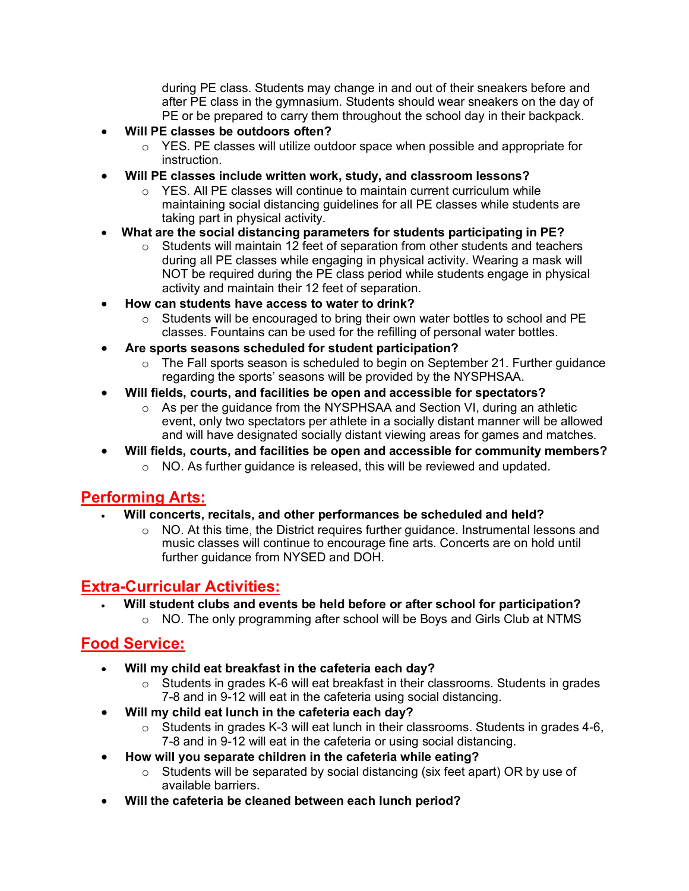during PE class. Students may change in and out of their sneakers before and after PE class in the gymnasium. Students should wear sneakers on the day of PE or be prepared to carry them throughout the school day in their backpack.

- **Will PE classes be outdoors often?**
	- $\circ$  YES. PE classes will utilize outdoor space when possible and appropriate for instruction.
- **Will PE classes include written work, study, and classroom lessons?**
	- $\circ$  YES. All PE classes will continue to maintain current curriculum while maintaining social distancing guidelines for all PE classes while students are taking part in physical activity.
- **What are the social distancing parameters for students participating in PE?**
	- $\circ$  Students will maintain 12 feet of separation from other students and teachers during all PE classes while engaging in physical activity. Wearing a mask will NOT be required during the PE class period while students engage in physical activity and maintain their 12 feet of separation.
- **How can students have access to water to drink?**
	- $\circ$  Students will be encouraged to bring their own water bottles to school and PE classes. Fountains can be used for the refilling of personal water bottles.
- **Are sports seasons scheduled for student participation?**
	- $\circ$  The Fall sports season is scheduled to begin on September 21. Further guidance regarding the sports' seasons will be provided by the NYSPHSAA.
- **Will fields, courts, and facilities be open and accessible for spectators?**
	- o As per the guidance from the NYSPHSAA and Section VI, during an athletic event, only two spectators per athlete in a socially distant manner will be allowed and will have designated socially distant viewing areas for games and matches.
- **Will fields, courts, and facilities be open and accessible for community members?**
	- o NO. As further guidance is released, this will be reviewed and updated.

## **Performing Arts:**

- **Will concerts, recitals, and other performances be scheduled and held?**
	- $\circ$  NO. At this time, the District requires further guidance. Instrumental lessons and music classes will continue to encourage fine arts. Concerts are on hold until further guidance from NYSED and DOH.

# **Extra-Curricular Activities:**

- **Will student clubs and events be held before or after school for participation?**
	- o NO. The only programming after school will be Boys and Girls Club at NTMS

### **Food Service:**

- **Will my child eat breakfast in the cafeteria each day?**
	- $\circ$  Students in grades K-6 will eat breakfast in their classrooms. Students in grades 7-8 and in 9-12 will eat in the cafeteria using social distancing.
- **Will my child eat lunch in the cafeteria each day?**
	- $\circ$  Students in grades K-3 will eat lunch in their classrooms. Students in grades 4-6, 7-8 and in 9-12 will eat in the cafeteria or using social distancing.
- **How will you separate children in the cafeteria while eating?**
	- o Students will be separated by social distancing (six feet apart) OR by use of available barriers.
- **Will the cafeteria be cleaned between each lunch period?**